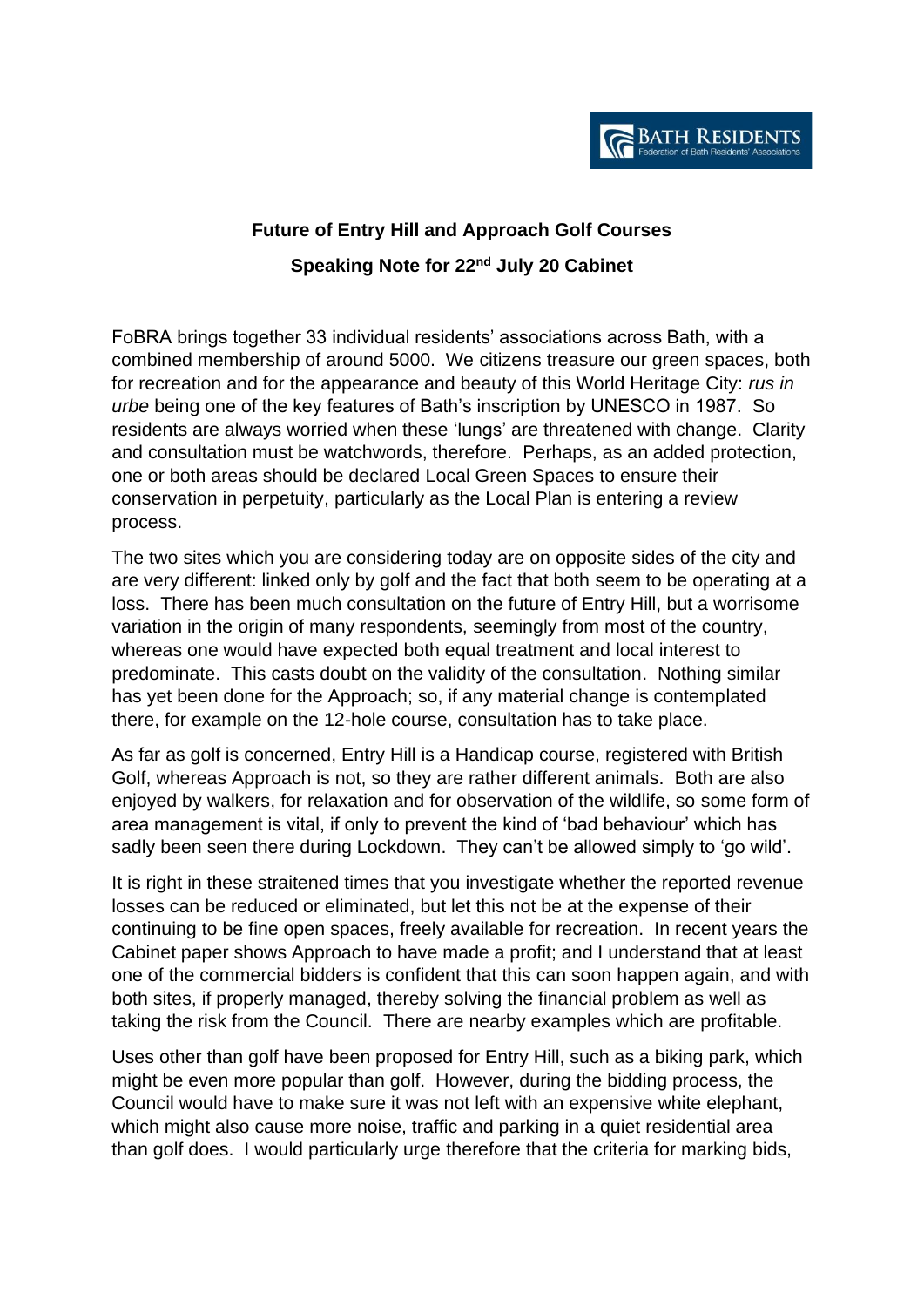

## **Future of Entry Hill and Approach Golf Courses Speaking Note for 22nd July 20 Cabinet**

FoBRA brings together 33 individual residents' associations across Bath, with a combined membership of around 5000. We citizens treasure our green spaces, both for recreation and for the appearance and beauty of this World Heritage City: *rus in urbe* being one of the key features of Bath's inscription by UNESCO in 1987. So residents are always worried when these 'lungs' are threatened with change. Clarity and consultation must be watchwords, therefore. Perhaps, as an added protection, one or both areas should be declared Local Green Spaces to ensure their conservation in perpetuity, particularly as the Local Plan is entering a review process.

The two sites which you are considering today are on opposite sides of the city and are very different: linked only by golf and the fact that both seem to be operating at a loss. There has been much consultation on the future of Entry Hill, but a worrisome variation in the origin of many respondents, seemingly from most of the country, whereas one would have expected both equal treatment and local interest to predominate. This casts doubt on the validity of the consultation. Nothing similar has yet been done for the Approach; so, if any material change is contemplated there, for example on the 12-hole course, consultation has to take place.

As far as golf is concerned, Entry Hill is a Handicap course, registered with British Golf, whereas Approach is not, so they are rather different animals. Both are also enjoyed by walkers, for relaxation and for observation of the wildlife, so some form of area management is vital, if only to prevent the kind of 'bad behaviour' which has sadly been seen there during Lockdown. They can't be allowed simply to 'go wild'.

It is right in these straitened times that you investigate whether the reported revenue losses can be reduced or eliminated, but let this not be at the expense of their continuing to be fine open spaces, freely available for recreation. In recent years the Cabinet paper shows Approach to have made a profit; and I understand that at least one of the commercial bidders is confident that this can soon happen again, and with both sites, if properly managed, thereby solving the financial problem as well as taking the risk from the Council. There are nearby examples which are profitable.

Uses other than golf have been proposed for Entry Hill, such as a biking park, which might be even more popular than golf. However, during the bidding process, the Council would have to make sure it was not left with an expensive white elephant, which might also cause more noise, traffic and parking in a quiet residential area than golf does. I would particularly urge therefore that the criteria for marking bids,